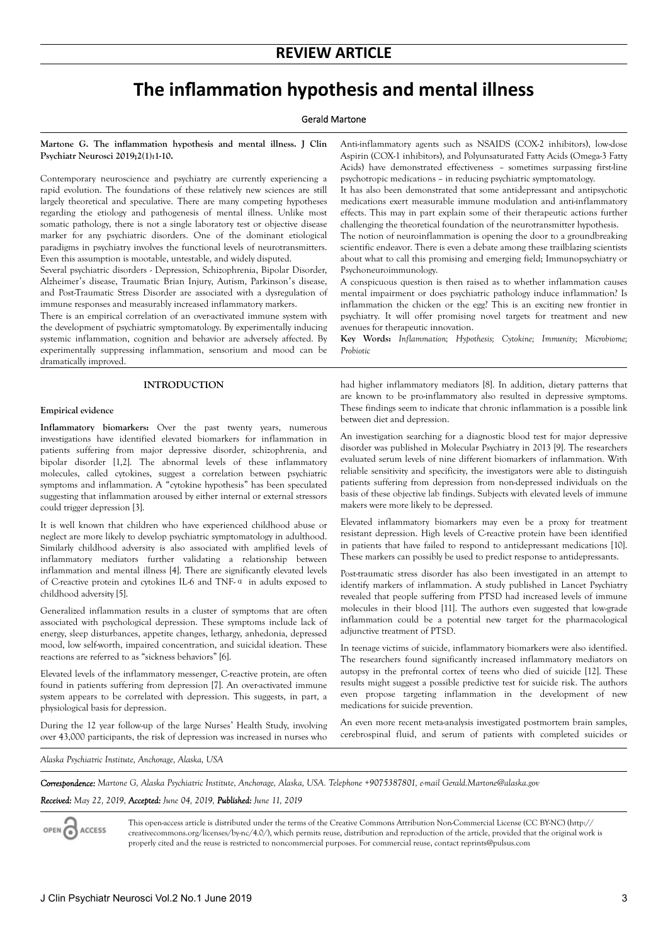## **REVIEW ARTICLE**

# **The inflammation hypothesis and mental illness**

## Gerald Martone

**Martone G. The inflammation hypothesis and mental illness. J Clin Psychiatr Neurosci 2019;2(1):1-10.**

Contemporary neuroscience and psychiatry are currently experiencing a rapid evolution. The foundations of these relatively new sciences are still largely theoretical and speculative. There are many competing hypotheses regarding the etiology and pathogenesis of mental illness. Unlike most somatic pathology, there is not a single laboratory test or objective disease marker for any psychiatric disorders. One of the dominant etiological paradigms in psychiatry involves the functional levels of neurotransmitters. Even this assumption is mootable, untestable, and widely disputed.

Several psychiatric disorders - Depression, Schizophrenia, Bipolar Disorder, Alzheimer's disease, Traumatic Brian Injury, Autism, Parkinson's disease, and Post-Traumatic Stress Disorder are associated with a dysregulation of immune responses and measurably increased inflammatory markers.

There is an empirical correlation of an over-activated immune system with the development of psychiatric symptomatology. By experimentally inducing systemic inflammation, cognition and behavior are adversely affected. By experimentally suppressing inflammation, sensorium and mood can be dramatically improved.

## **INTRODUCTION**

## **Empirical evidence**

**Inflammatory biomarkers:** Over the past twenty years, numerous investigations have identified elevated biomarkers for inflammation in patients suffering from major depressive disorder, schizophrenia, and bipolar disorder [1,2]. The abnormal levels of these inflammatory molecules, called cytokines, suggest a correlation between psychiatric symptoms and inflammation. A "cytokine hypothesis" has been speculated suggesting that inflammation aroused by either internal or external stressors could trigger depression [3].

It is well known that children who have experienced childhood abuse or neglect are more likely to develop psychiatric symptomatology in adulthood. Similarly childhood adversity is also associated with amplified levels of inflammatory mediators further validating a relationship between inflammation and mental illness [4]. There are significantly elevated levels of C-reactive protein and cytokines IL-6 and TNF-α in adults exposed to childhood adversity [5].

Generalized inflammation results in a cluster of symptoms that are often associated with psychological depression. These symptoms include lack of energy, sleep disturbances, appetite changes, lethargy, anhedonia, depressed mood, low self-worth, impaired concentration, and suicidal ideation. These reactions are referred to as "sickness behaviors" [6].

Elevated levels of the inflammatory messenger, C-reactive protein, are often found in patients suffering from depression [7]. An over-activated immune system appears to be correlated with depression. This suggests, in part, a physiological basis for depression.

During the 12 year follow-up of the large Nurses' Health Study, involving over 43,000 participants, the risk of depression was increased in nurses who

Anti-inflammatory agents such as NSAIDS (COX-2 inhibitors), low-dose Aspirin (COX-1 inhibitors), and Polyunsaturated Fatty Acids (Omega-3 Fatty Acids) have demonstrated effectiveness – sometimes surpassing first-line psychotropic medications – in reducing psychiatric symptomatology.

It has also been demonstrated that some antidepressant and antipsychotic medications exert measurable immune modulation and anti-inflammatory effects. This may in part explain some of their therapeutic actions further challenging the theoretical foundation of the neurotransmitter hypothesis.

The notion of neuroinflammation is opening the door to a groundbreaking scientific endeavor. There is even a debate among these trailblazing scientists about what to call this promising and emerging field; Immunopsychiatry or Psychoneuroimmunology.

A conspicuous question is then raised as to whether inflammation causes mental impairment or does psychiatric pathology induce inflammation? Is inflammation the chicken or the egg? This is an exciting new frontier in psychiatry. It will offer promising novel targets for treatment and new avenues for therapeutic innovation.

**Key Words:** *Inflammation; Hypothesis; Cytokine; Immunity; Microbiome; Probiotic*

had higher inflammatory mediators [8]. In addition, dietary patterns that are known to be pro-inflammatory also resulted in depressive symptoms. These findings seem to indicate that chronic inflammation is a possible link between diet and depression.

An investigation searching for a diagnostic blood test for major depressive disorder was published in Molecular Psychiatry in 2013 [9]. The researchers evaluated serum levels of nine different biomarkers of inflammation. With reliable sensitivity and specificity, the investigators were able to distinguish patients suffering from depression from non-depressed individuals on the basis of these objective lab findings. Subjects with elevated levels of immune makers were more likely to be depressed.

Elevated inflammatory biomarkers may even be a proxy for treatment resistant depression. High levels of C-reactive protein have been identified in patients that have failed to respond to antidepressant medications [10]. These markers can possibly be used to predict response to antidepressants.

Post-traumatic stress disorder has also been investigated in an attempt to identify markers of inflammation. A study published in Lancet Psychiatry revealed that people suffering from PTSD had increased levels of immune molecules in their blood [11]. The authors even suggested that low-grade inflammation could be a potential new target for the pharmacological adjunctive treatment of PTSD.

In teenage victims of suicide, inflammatory biomarkers were also identified. The researchers found significantly increased inflammatory mediators on autopsy in the prefrontal cortex of teens who died of suicide [12]. These results might suggest a possible predictive test for suicide risk. The authors even propose targeting inflammation in the development of new medications for suicide prevention.

An even more recent meta-analysis investigated postmortem brain samples, cerebrospinal fluid, and serum of patients with completed suicides or

*Alaska Psychiatric Institute, Anchorage, Alaska, USA*

*Correspondence: Martone G, Alaska Psychiatric Institute, Anchorage, Alaska, USA. Telephone +9075387801, e-mail Gerald.Martone@alaska.gov*

#### *Received: May 22, 2019, Accepted: June 04, 2019, Published: June 11, 2019*

OPEN ACCESS

This open-access article is distributed under the terms of the Creative Commons Attribution Non-Commercial License (CC BY-NC) (http:// creativecommons.org/licenses/by-nc/4.0/), which permits reuse, distribution and reproduction of the article, provided that the original work is properly cited and the reuse is restricted to noncommercial purposes. For commercial reuse, contact reprints@pulsus.com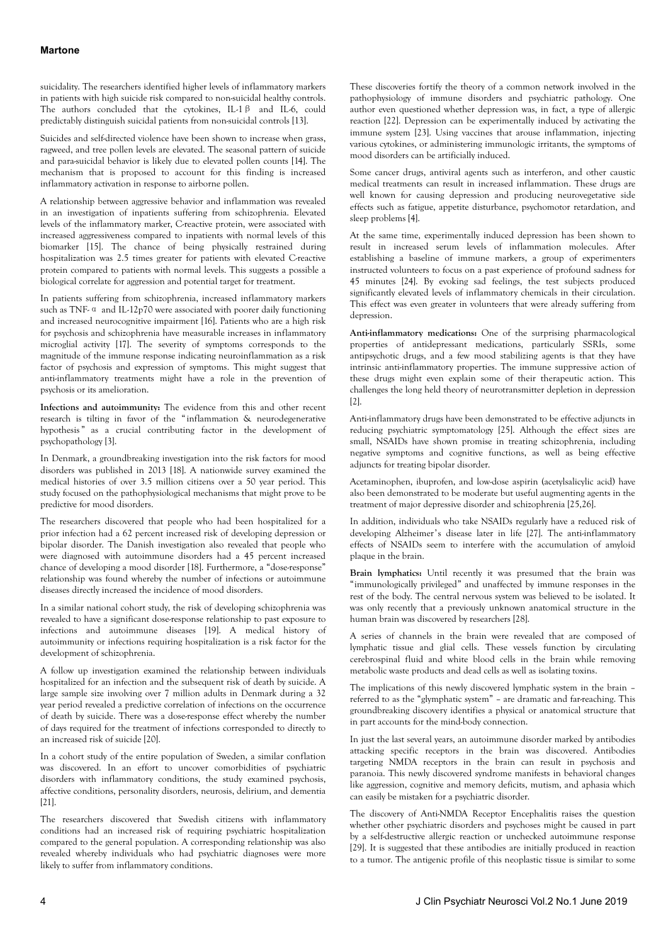## **Martone**

suicidality. The researchers identified higher levels of inflammatory markers in patients with high suicide risk compared to non-suicidal healthy controls. The authors concluded that the cytokines, IL-1β and IL-6, could predictably distinguish suicidal patients from non-suicidal controls [13].

Suicides and self-directed violence have been shown to increase when grass, ragweed, and tree pollen levels are elevated. The seasonal pattern of suicide and para-suicidal behavior is likely due to elevated pollen counts [14]. The mechanism that is proposed to account for this finding is increased inflammatory activation in response to airborne pollen.

A relationship between aggressive behavior and inflammation was revealed in an investigation of inpatients suffering from schizophrenia. Elevated levels of the inflammatory marker, C-reactive protein, were associated with increased aggressiveness compared to inpatients with normal levels of this biomarker [15]. The chance of being physically restrained during hospitalization was 2.5 times greater for patients with elevated C-reactive protein compared to patients with normal levels. This suggests a possible a biological correlate for aggression and potential target for treatment.

In patients suffering from schizophrenia, increased inflammatory markers such as TNF-α and IL-12p70 were associated with poorer daily functioning and increased neurocognitive impairment [16]. Patients who are a high risk for psychosis and schizophrenia have measurable increases in inflammatory microglial activity [17]. The severity of symptoms corresponds to the magnitude of the immune response indicating neuroinflammation as a risk factor of psychosis and expression of symptoms. This might suggest that anti-inflammatory treatments might have a role in the prevention of psychosis or its amelioration.

**Infections and autoimmunity:** The evidence from this and other recent research is tilting in favor of the "inflammation & neurodegenerative hypothesis " as a crucial contributing factor in the development of psychopathology [3].

In Denmark, a groundbreaking investigation into the risk factors for mood disorders was published in 2013 [18]. A nationwide survey examined the medical histories of over 3.5 million citizens over a 50 year period. This study focused on the pathophysiological mechanisms that might prove to be predictive for mood disorders.

The researchers discovered that people who had been hospitalized for a prior infection had a 62 percent increased risk of developing depression or bipolar disorder. The Danish investigation also revealed that people who were diagnosed with autoimmune disorders had a 45 percent increased chance of developing a mood disorder [18]. Furthermore, a "dose-response" relationship was found whereby the number of infections or autoimmune diseases directly increased the incidence of mood disorders.

In a similar national cohort study, the risk of developing schizophrenia was revealed to have a significant dose-response relationship to past exposure to infections and autoimmune diseases [19]. A medical history of autoimmunity or infections requiring hospitalization is a risk factor for the development of schizophrenia.

A follow up investigation examined the relationship between individuals hospitalized for an infection and the subsequent risk of death by suicide. A large sample size involving over 7 million adults in Denmark during a 32 year period revealed a predictive correlation of infections on the occurrence of death by suicide. There was a dose-response effect whereby the number of days required for the treatment of infections corresponded to directly to an increased risk of suicide [20].

In a cohort study of the entire population of Sweden, a similar conflation was discovered. In an effort to uncover comorbidities of psychiatric disorders with inflammatory conditions, the study examined psychosis, affective conditions, personality disorders, neurosis, delirium, and dementia [21].

The researchers discovered that Swedish citizens with inflammatory conditions had an increased risk of requiring psychiatric hospitalization compared to the general population. A corresponding relationship was also revealed whereby individuals who had psychiatric diagnoses were more likely to suffer from inflammatory conditions.

These discoveries fortify the theory of a common network involved in the pathophysiology of immune disorders and psychiatric pathology. One author even questioned whether depression was, in fact, a type of allergic reaction [22]. Depression can be experimentally induced by activating the immune system [23]. Using vaccines that arouse inflammation, injecting various cytokines, or administering immunologic irritants, the symptoms of mood disorders can be artificially induced.

Some cancer drugs, antiviral agents such as interferon, and other caustic medical treatments can result in increased inflammation. These drugs are well known for causing depression and producing neurovegetative side effects such as fatigue, appetite disturbance, psychomotor retardation, and sleep problems [4].

At the same time, experimentally induced depression has been shown to result in increased serum levels of inflammation molecules. After establishing a baseline of immune markers, a group of experimenters instructed volunteers to focus on a past experience of profound sadness for 45 minutes [24]. By evoking sad feelings, the test subjects produced significantly elevated levels of inflammatory chemicals in their circulation. This effect was even greater in volunteers that were already suffering from depression.

**Anti-inflammatory medications:** One of the surprising pharmacological properties of antidepressant medications, particularly SSRIs, some antipsychotic drugs, and a few mood stabilizing agents is that they have intrinsic anti-inflammatory properties. The immune suppressive action of these drugs might even explain some of their therapeutic action. This challenges the long held theory of neurotransmitter depletion in depression [2].

Anti-inflammatory drugs have been demonstrated to be effective adjuncts in reducing psychiatric symptomatology [25]. Although the effect sizes are small, NSAIDs have shown promise in treating schizophrenia, including negative symptoms and cognitive functions, as well as being effective adjuncts for treating bipolar disorder.

Acetaminophen, ibuprofen, and low-dose aspirin (acetylsalicylic acid) have also been demonstrated to be moderate but useful augmenting agents in the treatment of major depressive disorder and schizophrenia [25,26].

In addition, individuals who take NSAIDs regularly have a reduced risk of developing Alzheimer's disease later in life [27]. The anti-inflammatory effects of NSAIDs seem to interfere with the accumulation of amyloid plaque in the brain.

**Brain lymphatics:** Until recently it was presumed that the brain was "immunologically privileged" and unaffected by immune responses in the rest of the body. The central nervous system was believed to be isolated. It was only recently that a previously unknown anatomical structure in the human brain was discovered by researchers [28].

A series of channels in the brain were revealed that are composed of lymphatic tissue and glial cells. These vessels function by circulating cerebrospinal fluid and white blood cells in the brain while removing metabolic waste products and dead cells as well as isolating toxins.

The implications of this newly discovered lymphatic system in the brain – referred to as the "glymphatic system" – are dramatic and far-reaching. This groundbreaking discovery identifies a physical or anatomical structure that in part accounts for the mind-body connection.

In just the last several years, an autoimmune disorder marked by antibodies attacking specific receptors in the brain was discovered. Antibodies targeting NMDA receptors in the brain can result in psychosis and paranoia. This newly discovered syndrome manifests in behavioral changes like aggression, cognitive and memory deficits, mutism, and aphasia which can easily be mistaken for a psychiatric disorder.

The discovery of Anti-NMDA Receptor Encephalitis raises the question whether other psychiatric disorders and psychoses might be caused in part by a self-destructive allergic reaction or unchecked autoimmune response [29]. It is suggested that these antibodies are initially produced in reaction to a tumor. The antigenic profile of this neoplastic tissue is similar to some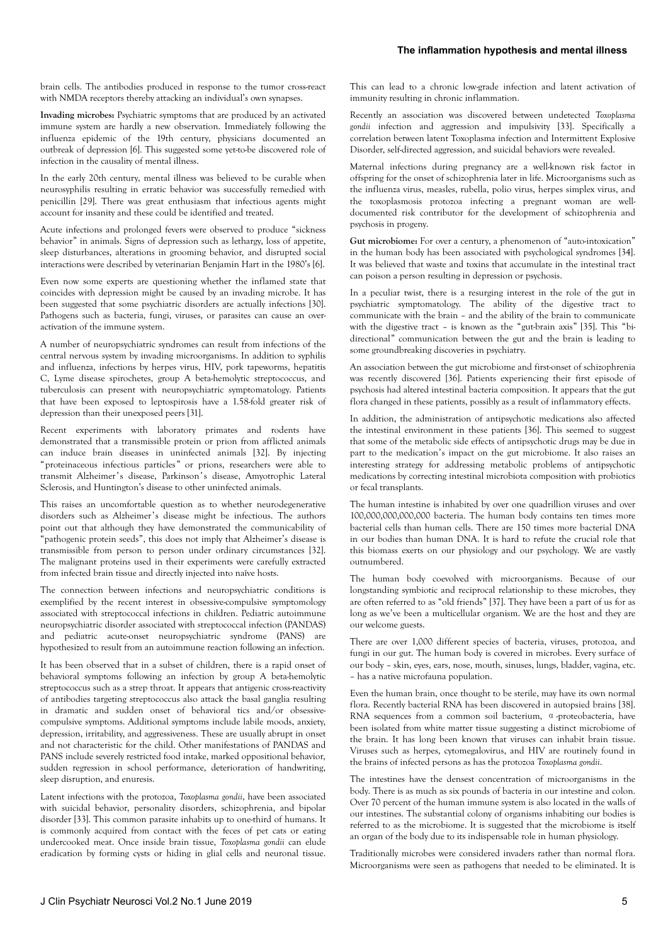## **The inflammation hypothesis and mental illness**

brain cells. The antibodies produced in response to the tumor cross-react with NMDA receptors thereby attacking an individual's own synapses.

**Invading microbes:** Psychiatric symptoms that are produced by an activated immune system are hardly a new observation. Immediately following the influenza epidemic of the 19th century, physicians documented an outbreak of depression [6]. This suggested some yet-to-be discovered role of infection in the causality of mental illness.

In the early 20th century, mental illness was believed to be curable when neurosyphilis resulting in erratic behavior was successfully remedied with penicillin [29]. There was great enthusiasm that infectious agents might account for insanity and these could be identified and treated.

Acute infections and prolonged fevers were observed to produce "sickness behavior" in animals. Signs of depression such as lethargy, loss of appetite, sleep disturbances, alterations in grooming behavior, and disrupted social interactions were described by veterinarian Benjamin Hart in the 1980's [6].

Even now some experts are questioning whether the inflamed state that coincides with depression might be caused by an invading microbe. It has been suggested that some psychiatric disorders are actually infections [30]. Pathogens such as bacteria, fungi, viruses, or parasites can cause an overactivation of the immune system.

A number of neuropsychiatric syndromes can result from infections of the central nervous system by invading microorganisms. In addition to syphilis and influenza, infections by herpes virus, HIV, pork tapeworms, hepatitis C, Lyme disease spirochetes, group A beta-hemolytic streptococcus, and tuberculosis can present with neuropsychiatric symptomatology. Patients that have been exposed to leptospirosis have a 1.58-fold greater risk of depression than their unexposed peers [31].

Recent experiments with laboratory primates and rodents have demonstrated that a transmissible protein or prion from afflicted animals can induce brain diseases in uninfected animals [32]. By injecting "proteinaceous infectious particles" or prions, researchers were able to transmit Alzheimer's disease, Parkinson's disease, Amyotrophic Lateral Sclerosis, and Huntington's disease to other uninfected animals.

This raises an uncomfortable question as to whether neurodegenerative disorders such as Alzheimer's disease might be infectious. The authors point out that although they have demonstrated the communicability of "pathogenic protein seeds", this does not imply that Alzheimer's disease is transmissible from person to person under ordinary circumstances [32]. The malignant proteins used in their experiments were carefully extracted from infected brain tissue and directly injected into naïve hosts.

The connection between infections and neuropsychiatric conditions is exemplified by the recent interest in obsessive-compulsive symptomology associated with streptococcal infections in children. Pediatric autoimmune neuropsychiatric disorder associated with streptococcal infection (PANDAS) and pediatric acute-onset neuropsychiatric syndrome (PANS) are hypothesized to result from an autoimmune reaction following an infection.

It has been observed that in a subset of children, there is a rapid onset of behavioral symptoms following an infection by group A beta-hemolytic streptococcus such as a strep throat. It appears that antigenic cross-reactivity of antibodies targeting streptococcus also attack the basal ganglia resulting in dramatic and sudden onset of behavioral tics and/or obsessivecompulsive symptoms. Additional symptoms include labile moods, anxiety, depression, irritability, and aggressiveness. These are usually abrupt in onset and not characteristic for the child. Other manifestations of PANDAS and PANS include severely restricted food intake, marked oppositional behavior, sudden regression in school performance, deterioration of handwriting, sleep disruption, and enuresis.

Latent infections with the protozoa, *Toxoplasma gondii*, have been associated with suicidal behavior, personality disorders, schizophrenia, and bipolar disorder [33]. This common parasite inhabits up to one-third of humans. It is commonly acquired from contact with the feces of pet cats or eating undercooked meat. Once inside brain tissue, *Toxoplasma gondii* can elude eradication by forming cysts or hiding in glial cells and neuronal tissue. This can lead to a chronic low-grade infection and latent activation of immunity resulting in chronic inflammation.

Recently an association was discovered between undetected *Toxoplasma gondii* infection and aggression and impulsivity [33]. Specifically a correlation between latent Toxoplasma infection and Intermittent Explosive Disorder, self-directed aggression, and suicidal behaviors were revealed.

Maternal infections during pregnancy are a well-known risk factor in offspring for the onset of schizophrenia later in life. Microorganisms such as the influenza virus, measles, rubella, polio virus, herpes simplex virus, and the toxoplasmosis protozoa infecting a pregnant woman are welldocumented risk contributor for the development of schizophrenia and psychosis in progeny.

**Gut microbiome:** For over a century, a phenomenon of "auto-intoxication" in the human body has been associated with psychological syndromes [34]. It was believed that waste and toxins that accumulate in the intestinal tract can poison a person resulting in depression or psychosis.

In a peculiar twist, there is a resurging interest in the role of the gut in psychiatric symptomatology. The ability of the digestive tract to communicate with the brain – and the ability of the brain to communicate with the digestive tract – is known as the "gut-brain axis" [35]. This "bidirectional" communication between the gut and the brain is leading to some groundbreaking discoveries in psychiatry.

An association between the gut microbiome and first-onset of schizophrenia was recently discovered [36]. Patients experiencing their first episode of psychosis had altered intestinal bacteria composition. It appears that the gut flora changed in these patients, possibly as a result of inflammatory effects.

In addition, the administration of antipsychotic medications also affected the intestinal environment in these patients [36]. This seemed to suggest that some of the metabolic side effects of antipsychotic drugs may be due in part to the medication's impact on the gut microbiome. It also raises an interesting strategy for addressing metabolic problems of antipsychotic medications by correcting intestinal microbiota composition with probiotics or fecal transplants.

The human intestine is inhabited by over one quadrillion viruses and over 100,000,000,000,000 bacteria. The human body contains ten times more bacterial cells than human cells. There are 150 times more bacterial DNA in our bodies than human DNA. It is hard to refute the crucial role that this biomass exerts on our physiology and our psychology. We are vastly outnumbered.

The human body coevolved with microorganisms. Because of our longstanding symbiotic and reciprocal relationship to these microbes, they are often referred to as "old friends" [37]. They have been a part of us for as long as we've been a multicellular organism. We are the host and they are our welcome guests.

There are over 1,000 different species of bacteria, viruses, protozoa, and fungi in our gut. The human body is covered in microbes. Every surface of our body – skin, eyes, ears, nose, mouth, sinuses, lungs, bladder, vagina, etc. – has a native microfauna population.

Even the human brain, once thought to be sterile, may have its own normal flora. Recently bacterial RNA has been discovered in autopsied brains [38]. RNA sequences from a common soil bacterium, α-proteobacteria, have been isolated from white matter tissue suggesting a distinct microbiome of the brain. It has long been known that viruses can inhabit brain tissue. Viruses such as herpes, cytomegalovirus, and HIV are routinely found in the brains of infected persons as has the protozoa *Toxoplasma gondii*.

The intestines have the densest concentration of microorganisms in the body. There is as much as six pounds of bacteria in our intestine and colon. Over 70 percent of the human immune system is also located in the walls of our intestines. The substantial colony of organisms inhabiting our bodies is referred to as the microbiome. It is suggested that the microbiome is itself an organ of the body due to its indispensable role in human physiology.

Traditionally microbes were considered invaders rather than normal flora. Microorganisms were seen as pathogens that needed to be eliminated. It is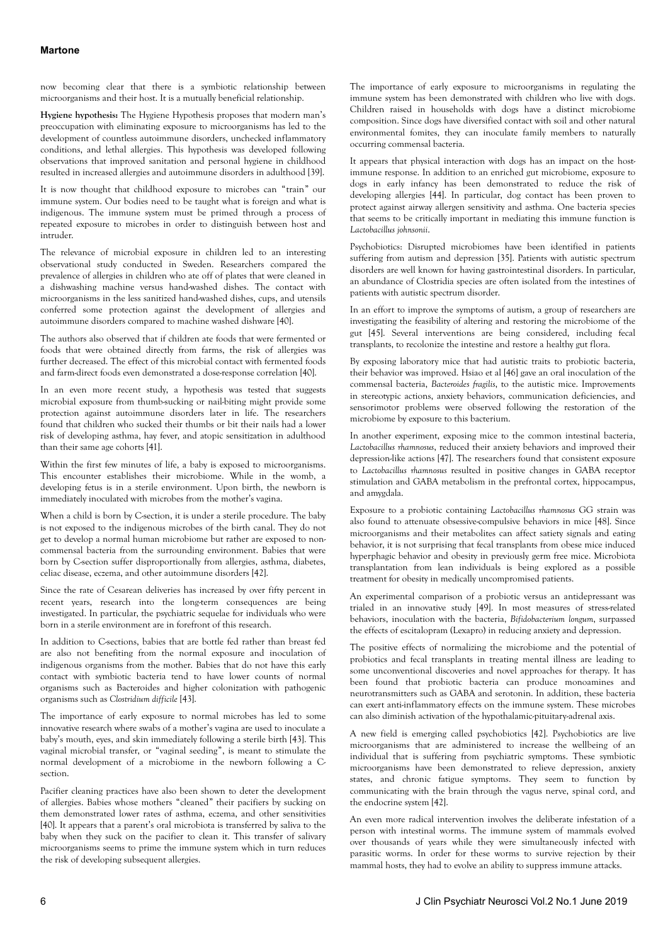## **Martone**

now becoming clear that there is a symbiotic relationship between microorganisms and their host. It is a mutually beneficial relationship.

**Hygiene hypothesis:** The Hygiene Hypothesis proposes that modern man's preoccupation with eliminating exposure to microorganisms has led to the development of countless autoimmune disorders, unchecked inflammatory conditions, and lethal allergies. This hypothesis was developed following observations that improved sanitation and personal hygiene in childhood resulted in increased allergies and autoimmune disorders in adulthood [39].

It is now thought that childhood exposure to microbes can "train" our immune system. Our bodies need to be taught what is foreign and what is indigenous. The immune system must be primed through a process of repeated exposure to microbes in order to distinguish between host and intruder.

The relevance of microbial exposure in children led to an interesting observational study conducted in Sweden. Researchers compared the prevalence of allergies in children who ate off of plates that were cleaned in a dishwashing machine versus hand-washed dishes. The contact with microorganisms in the less sanitized hand-washed dishes, cups, and utensils conferred some protection against the development of allergies and autoimmune disorders compared to machine washed dishware [40].

The authors also observed that if children ate foods that were fermented or foods that were obtained directly from farms, the risk of allergies was further decreased. The effect of this microbial contact with fermented foods and farm-direct foods even demonstrated a dose-response correlation [40].

In an even more recent study, a hypothesis was tested that suggests microbial exposure from thumb-sucking or nail-biting might provide some protection against autoimmune disorders later in life. The researchers found that children who sucked their thumbs or bit their nails had a lower risk of developing asthma, hay fever, and atopic sensitization in adulthood than their same age cohorts [41].

Within the first few minutes of life, a baby is exposed to microorganisms. This encounter establishes their microbiome. While in the womb, a developing fetus is in a sterile environment. Upon birth, the newborn is immediately inoculated with microbes from the mother's vagina.

When a child is born by C-section, it is under a sterile procedure. The baby is not exposed to the indigenous microbes of the birth canal. They do not get to develop a normal human microbiome but rather are exposed to noncommensal bacteria from the surrounding environment. Babies that were born by C-section suffer disproportionally from allergies, asthma, diabetes, celiac disease, eczema, and other autoimmune disorders [42].

Since the rate of Cesarean deliveries has increased by over fifty percent in recent years, research into the long-term consequences are being investigated. In particular, the psychiatric sequelae for individuals who were born in a sterile environment are in forefront of this research.

In addition to C-sections, babies that are bottle fed rather than breast fed are also not benefiting from the normal exposure and inoculation of indigenous organisms from the mother. Babies that do not have this early contact with symbiotic bacteria tend to have lower counts of normal organisms such as Bacteroides and higher colonization with pathogenic organisms such as *Clostridium difficile* [43].

The importance of early exposure to normal microbes has led to some innovative research where swabs of a mother's vagina are used to inoculate a baby's mouth, eyes, and skin immediately following a sterile birth [43]. This vaginal microbial transfer, or "vaginal seeding", is meant to stimulate the normal development of a microbiome in the newborn following a Csection.

Pacifier cleaning practices have also been shown to deter the development of allergies. Babies whose mothers "cleaned" their pacifiers by sucking on them demonstrated lower rates of asthma, eczema, and other sensitivities [40]. It appears that a parent's oral microbiota is transferred by saliva to the baby when they suck on the pacifier to clean it. This transfer of salivary microorganisms seems to prime the immune system which in turn reduces the risk of developing subsequent allergies.

The importance of early exposure to microorganisms in regulating the immune system has been demonstrated with children who live with dogs. Children raised in households with dogs have a distinct microbiome composition. Since dogs have diversified contact with soil and other natural environmental fomites, they can inoculate family members to naturally occurring commensal bacteria.

It appears that physical interaction with dogs has an impact on the hostimmune response. In addition to an enriched gut microbiome, exposure to dogs in early infancy has been demonstrated to reduce the risk of developing allergies [44]. In particular, dog contact has been proven to protect against airway allergen sensitivity and asthma. One bacteria species that seems to be critically important in mediating this immune function is *Lactobacillus johnsonii*.

Psychobiotics: Disrupted microbiomes have been identified in patients suffering from autism and depression [35]. Patients with autistic spectrum disorders are well known for having gastrointestinal disorders. In particular, an abundance of Clostridia species are often isolated from the intestines of patients with autistic spectrum disorder.

In an effort to improve the symptoms of autism, a group of researchers are investigating the feasibility of altering and restoring the microbiome of the gut [45]. Several interventions are being considered, including fecal transplants, to recolonize the intestine and restore a healthy gut flora.

By exposing laboratory mice that had autistic traits to probiotic bacteria, their behavior was improved. Hsiao et al [46] gave an oral inoculation of the commensal bacteria, *Bacteroides fragilis*, to the autistic mice. Improvements in stereotypic actions, anxiety behaviors, communication deficiencies, and sensorimotor problems were observed following the restoration of the microbiome by exposure to this bacterium.

In another experiment, exposing mice to the common intestinal bacteria, *Lactobacillus rhamnosus*, reduced their anxiety behaviors and improved their depression-like actions [47]. The researchers found that consistent exposure to *Lactobacillus rhamnosus* resulted in positive changes in GABA receptor stimulation and GABA metabolism in the prefrontal cortex, hippocampus, and amygdala.

Exposure to a probiotic containing *Lactobacillus rhamnosus* GG strain was also found to attenuate obsessive-compulsive behaviors in mice [48]. Since microorganisms and their metabolites can affect satiety signals and eating behavior, it is not surprising that fecal transplants from obese mice induced hyperphagic behavior and obesity in previously germ free mice. Microbiota transplantation from lean individuals is being explored as a possible treatment for obesity in medically uncompromised patients.

An experimental comparison of a probiotic versus an antidepressant was trialed in an innovative study [49]. In most measures of stress-related behaviors, inoculation with the bacteria, *Bifidobacterium longum*, surpassed the effects of escitalopram (Lexapro) in reducing anxiety and depression.

The positive effects of normalizing the microbiome and the potential of probiotics and fecal transplants in treating mental illness are leading to some unconventional discoveries and novel approaches for therapy. It has been found that probiotic bacteria can produce monoamines and neurotransmitters such as GABA and serotonin. In addition, these bacteria can exert anti-inflammatory effects on the immune system. These microbes can also diminish activation of the hypothalamic-pituitary-adrenal axis.

A new field is emerging called psychobiotics [42]. Psychobiotics are live microorganisms that are administered to increase the wellbeing of an individual that is suffering from psychiatric symptoms. These symbiotic microorganisms have been demonstrated to relieve depression, anxiety states, and chronic fatigue symptoms. They seem to function by communicating with the brain through the vagus nerve, spinal cord, and the endocrine system [42].

An even more radical intervention involves the deliberate infestation of a person with intestinal worms. The immune system of mammals evolved over thousands of years while they were simultaneously infected with parasitic worms. In order for these worms to survive rejection by their mammal hosts, they had to evolve an ability to suppress immune attacks.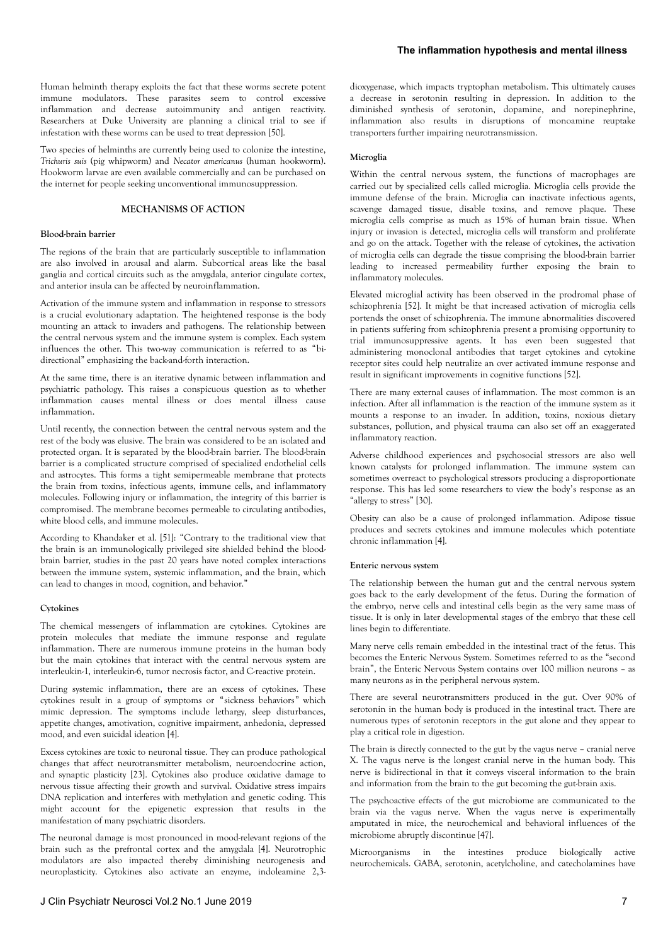Human helminth therapy exploits the fact that these worms secrete potent immune modulators. These parasites seem to control excessive inflammation and decrease autoimmunity and antigen reactivity. Researchers at Duke University are planning a clinical trial to see if infestation with these worms can be used to treat depression [50].

Two species of helminths are currently being used to colonize the intestine, *Trichuris suis* (pig whipworm) and *Necator americanus* (human hookworm). Hookworm larvae are even available commercially and can be purchased on the internet for people seeking unconventional immunosuppression.

## **MECHANISMS OF ACTION**

## **Blood-brain barrier**

The regions of the brain that are particularly susceptible to inflammation are also involved in arousal and alarm. Subcortical areas like the basal ganglia and cortical circuits such as the amygdala, anterior cingulate cortex, and anterior insula can be affected by neuroinflammation.

Activation of the immune system and inflammation in response to stressors is a crucial evolutionary adaptation. The heightened response is the body mounting an attack to invaders and pathogens. The relationship between the central nervous system and the immune system is complex. Each system influences the other. This two-way communication is referred to as "bidirectional" emphasizing the back-and-forth interaction.

At the same time, there is an iterative dynamic between inflammation and psychiatric pathology. This raises a conspicuous question as to whether inflammation causes mental illness or does mental illness cause inflammation.

Until recently, the connection between the central nervous system and the rest of the body was elusive. The brain was considered to be an isolated and protected organ. It is separated by the blood-brain barrier. The blood-brain barrier is a complicated structure comprised of specialized endothelial cells and astrocytes. This forms a tight semipermeable membrane that protects the brain from toxins, infectious agents, immune cells, and inflammatory molecules. Following injury or inflammation, the integrity of this barrier is compromised. The membrane becomes permeable to circulating antibodies, white blood cells, and immune molecules.

According to Khandaker et al. [51]: "Contrary to the traditional view that the brain is an immunologically privileged site shielded behind the bloodbrain barrier, studies in the past 20 years have noted complex interactions between the immune system, systemic inflammation, and the brain, which can lead to changes in mood, cognition, and behavior."

## **Cytokines**

The chemical messengers of inflammation are cytokines. Cytokines are protein molecules that mediate the immune response and regulate inflammation. There are numerous immune proteins in the human body but the main cytokines that interact with the central nervous system are interleukin-1, interleukin-6, tumor necrosis factor, and C-reactive protein.

During systemic inflammation, there are an excess of cytokines. These cytokines result in a group of symptoms or "sickness behaviors" which mimic depression. The symptoms include lethargy, sleep disturbances, appetite changes, amotivation, cognitive impairment, anhedonia, depressed mood, and even suicidal ideation [4].

Excess cytokines are toxic to neuronal tissue. They can produce pathological changes that affect neurotransmitter metabolism, neuroendocrine action, and synaptic plasticity [23]. Cytokines also produce oxidative damage to nervous tissue affecting their growth and survival. Oxidative stress impairs DNA replication and interferes with methylation and genetic coding. This might account for the epigenetic expression that results in the manifestation of many psychiatric disorders.

The neuronal damage is most pronounced in mood-relevant regions of the brain such as the prefrontal cortex and the amygdala [4]. Neurotrophic modulators are also impacted thereby diminishing neurogenesis and neuroplasticity. Cytokines also activate an enzyme, indoleamine 2,3dioxygenase, which impacts tryptophan metabolism. This ultimately causes a decrease in serotonin resulting in depression. In addition to the diminished synthesis of serotonin, dopamine, and norepinephrine, inflammation also results in disruptions of monoamine reuptake transporters further impairing neurotransmission.

## **Microglia**

Within the central nervous system, the functions of macrophages are carried out by specialized cells called microglia. Microglia cells provide the immune defense of the brain. Microglia can inactivate infectious agents, scavenge damaged tissue, disable toxins, and remove plaque. These microglia cells comprise as much as 15% of human brain tissue. When injury or invasion is detected, microglia cells will transform and proliferate and go on the attack. Together with the release of cytokines, the activation of microglia cells can degrade the tissue comprising the blood-brain barrier leading to increased permeability further exposing the brain to inflammatory molecules.

Elevated microglial activity has been observed in the prodromal phase of schizophrenia [52]. It might be that increased activation of microglia cells portends the onset of schizophrenia. The immune abnormalities discovered in patients suffering from schizophrenia present a promising opportunity to trial immunosuppressive agents. It has even been suggested that administering monoclonal antibodies that target cytokines and cytokine receptor sites could help neutralize an over activated immune response and result in significant improvements in cognitive functions [52].

There are many external causes of inflammation. The most common is an infection. After all inflammation is the reaction of the immune system as it mounts a response to an invader. In addition, toxins, noxious dietary substances, pollution, and physical trauma can also set off an exaggerated inflammatory reaction.

Adverse childhood experiences and psychosocial stressors are also well known catalysts for prolonged inflammation. The immune system can sometimes overreact to psychological stressors producing a disproportionate response. This has led some researchers to view the body's response as an "allergy to stress" [30].

Obesity can also be a cause of prolonged inflammation. Adipose tissue produces and secrets cytokines and immune molecules which potentiate chronic inflammation [4].

#### **Enteric nervous system**

The relationship between the human gut and the central nervous system goes back to the early development of the fetus. During the formation of the embryo, nerve cells and intestinal cells begin as the very same mass of tissue. It is only in later developmental stages of the embryo that these cell lines begin to differentiate.

Many nerve cells remain embedded in the intestinal tract of the fetus. This becomes the Enteric Nervous System. Sometimes referred to as the "second brain", the Enteric Nervous System contains over 100 million neurons – as many neurons as in the peripheral nervous system.

There are several neurotransmitters produced in the gut. Over 90% of serotonin in the human body is produced in the intestinal tract. There are numerous types of serotonin receptors in the gut alone and they appear to play a critical role in digestion.

The brain is directly connected to the gut by the vagus nerve – cranial nerve X. The vagus nerve is the longest cranial nerve in the human body. This nerve is bidirectional in that it conveys visceral information to the brain and information from the brain to the gut becoming the gut-brain axis.

The psychoactive effects of the gut microbiome are communicated to the brain via the vagus nerve. When the vagus nerve is experimentally amputated in mice, the neurochemical and behavioral influences of the microbiome abruptly discontinue [47].

Microorganisms in the intestines produce biologically active neurochemicals. GABA, serotonin, acetylcholine, and catecholamines have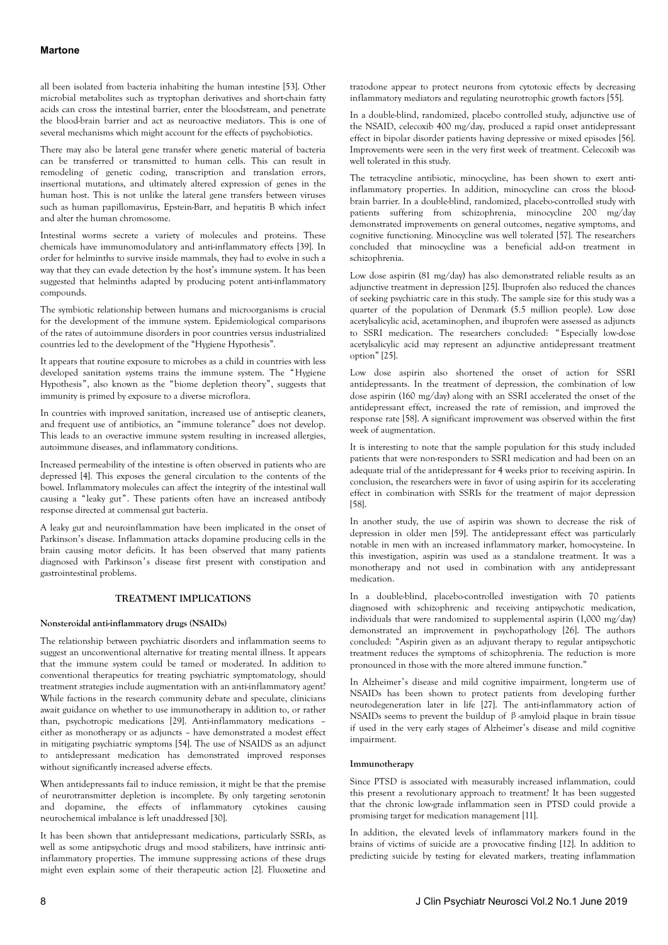all been isolated from bacteria inhabiting the human intestine [53]. Other microbial metabolites such as tryptophan derivatives and short-chain fatty acids can cross the intestinal barrier, enter the bloodstream, and penetrate the blood-brain barrier and act as neuroactive mediators. This is one of several mechanisms which might account for the effects of psychobiotics.

There may also be lateral gene transfer where genetic material of bacteria can be transferred or transmitted to human cells. This can result in remodeling of genetic coding, transcription and translation errors, insertional mutations, and ultimately altered expression of genes in the human host. This is not unlike the lateral gene transfers between viruses such as human papillomavirus, Epstein-Barr, and hepatitis B which infect and alter the human chromosome.

Intestinal worms secrete a variety of molecules and proteins. These chemicals have immunomodulatory and anti-inflammatory effects [39]. In order for helminths to survive inside mammals, they had to evolve in such a way that they can evade detection by the host's immune system. It has been suggested that helminths adapted by producing potent anti-inflammatory compounds.

The symbiotic relationship between humans and microorganisms is crucial for the development of the immune system. Epidemiological comparisons of the rates of autoimmune disorders in poor countries versus industrialized countries led to the development of the "Hygiene Hypothesis".

It appears that routine exposure to microbes as a child in countries with less developed sanitation systems trains the immune system. The "Hygiene Hypothesis", also known as the "biome depletion theory", suggests that immunity is primed by exposure to a diverse microflora.

In countries with improved sanitation, increased use of antiseptic cleaners, and frequent use of antibiotics, an "immune tolerance" does not develop. This leads to an overactive immune system resulting in increased allergies, autoimmune diseases, and inflammatory conditions.

Increased permeability of the intestine is often observed in patients who are depressed [4]. This exposes the general circulation to the contents of the bowel. Inflammatory molecules can affect the integrity of the intestinal wall causing a "leaky gut". These patients often have an increased antibody response directed at commensal gut bacteria.

A leaky gut and neuroinflammation have been implicated in the onset of Parkinson's disease. Inflammation attacks dopamine producing cells in the brain causing motor deficits. It has been observed that many patients diagnosed with Parkinson's disease first present with constipation and gastrointestinal problems.

## **TREATMENT IMPLICATIONS**

## **Nonsteroidal anti-inflammatory drugs (NSAIDs)**

The relationship between psychiatric disorders and inflammation seems to suggest an unconventional alternative for treating mental illness. It appears that the immune system could be tamed or moderated. In addition to conventional therapeutics for treating psychiatric symptomatology, should treatment strategies include augmentation with an anti-inflammatory agent? While factions in the research community debate and speculate, clinicians await guidance on whether to use immunotherapy in addition to, or rather than, psychotropic medications [29]. Anti-inflammatory medications – either as monotherapy or as adjuncts – have demonstrated a modest effect in mitigating psychiatric symptoms [54]. The use of NSAIDS as an adjunct to antidepressant medication has demonstrated improved responses without significantly increased adverse effects.

When antidepressants fail to induce remission, it might be that the premise of neurotransmitter depletion is incomplete. By only targeting serotonin and dopamine, the effects of inflammatory cytokines causing neurochemical imbalance is left unaddressed [30].

It has been shown that antidepressant medications, particularly SSRIs, as well as some antipsychotic drugs and mood stabilizers, have intrinsic antiinflammatory properties. The immune suppressing actions of these drugs might even explain some of their therapeutic action [2]. Fluoxetine and trazodone appear to protect neurons from cytotoxic effects by decreasing inflammatory mediators and regulating neurotrophic growth factors [55].

In a double-blind, randomized, placebo controlled study, adjunctive use of the NSAID, celecoxib 400 mg/day, produced a rapid onset antidepressant effect in bipolar disorder patients having depressive or mixed episodes [56]. Improvements were seen in the very first week of treatment. Celecoxib was well tolerated in this study.

The tetracycline antibiotic, minocycline, has been shown to exert antiinflammatory properties. In addition, minocycline can cross the bloodbrain barrier. In a double-blind, randomized, placebo-controlled study with patients suffering from schizophrenia, minocycline 200 mg/day demonstrated improvements on general outcomes, negative symptoms, and cognitive functioning. Minocycline was well tolerated [57]. The researchers concluded that minocycline was a beneficial add-on treatment in schizophrenia.

Low dose aspirin (81 mg/day) has also demonstrated reliable results as an adjunctive treatment in depression [25]. Ibuprofen also reduced the chances of seeking psychiatric care in this study. The sample size for this study was a quarter of the population of Denmark (5.5 million people). Low dose acetylsalicylic acid, acetaminophen, and ibuprofen were assessed as adjuncts to SSRI medication. The researchers concluded: " Especially low-dose acetylsalicylic acid may represent an adjunctive antidepressant treatment option" [25].

Low dose aspirin also shortened the onset of action for SSRI antidepressants. In the treatment of depression, the combination of low dose aspirin (160 mg/day) along with an SSRI accelerated the onset of the antidepressant effect, increased the rate of remission, and improved the response rate [58]. A significant improvement was observed within the first week of augmentation.

It is interesting to note that the sample population for this study included patients that were non-responders to SSRI medication and had been on an adequate trial of the antidepressant for 4 weeks prior to receiving aspirin. In conclusion, the researchers were in favor of using aspirin for its accelerating effect in combination with SSRIs for the treatment of major depression [58].

In another study, the use of aspirin was shown to decrease the risk of depression in older men [59]. The antidepressant effect was particularly notable in men with an increased inflammatory marker, homocysteine. In this investigation, aspirin was used as a standalone treatment. It was a monotherapy and not used in combination with any antidepressant medication.

In a double-blind, placebo-controlled investigation with 70 patients diagnosed with schizophrenic and receiving antipsychotic medication, individuals that were randomized to supplemental aspirin (1,000 mg/day) demonstrated an improvement in psychopathology [26]. The authors concluded: "Aspirin given as an adjuvant therapy to regular antipsychotic treatment reduces the symptoms of schizophrenia. The reduction is more pronounced in those with the more altered immune function."

In Alzheimer's disease and mild cognitive impairment, long-term use of NSAIDs has been shown to protect patients from developing further neurodegeneration later in life [27]. The anti-inflammatory action of NSAIDs seems to prevent the buildup of β-amyloid plaque in brain tissue if used in the very early stages of Alzheimer's disease and mild cognitive impairment.

## **Immunotherapy**

Since PTSD is associated with measurably increased inflammation, could this present a revolutionary approach to treatment? It has been suggested that the chronic low-grade inflammation seen in PTSD could provide a promising target for medication management [11].

In addition, the elevated levels of inflammatory markers found in the brains of victims of suicide are a provocative finding [12]. In addition to predicting suicide by testing for elevated markers, treating inflammation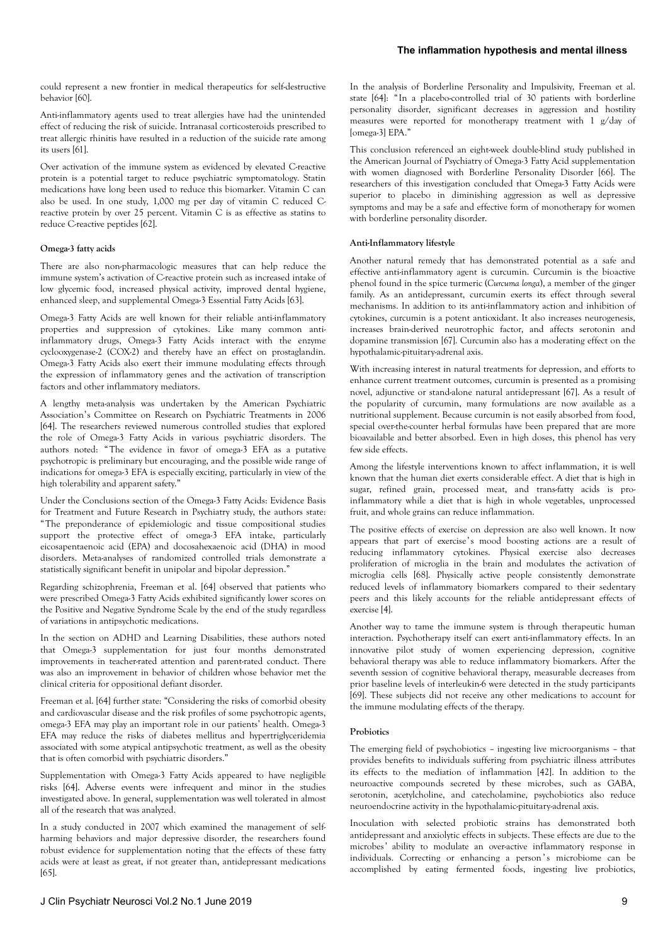could represent a new frontier in medical therapeutics for self-destructive behavior [60].

Anti-inflammatory agents used to treat allergies have had the unintended effect of reducing the risk of suicide. Intranasal corticosteroids prescribed to treat allergic rhinitis have resulted in a reduction of the suicide rate among its users [61].

Over activation of the immune system as evidenced by elevated C-reactive protein is a potential target to reduce psychiatric symptomatology. Statin medications have long been used to reduce this biomarker. Vitamin C can also be used. In one study, 1,000 mg per day of vitamin C reduced Creactive protein by over 25 percent. Vitamin C is as effective as statins to reduce C-reactive peptides [62].

#### **Omega-3 fatty acids**

There are also non-pharmacologic measures that can help reduce the immune system's activation of C-reactive protein such as increased intake of low glycemic food, increased physical activity, improved dental hygiene, enhanced sleep, and supplemental Omega-3 Essential Fatty Acids [63].

Omega-3 Fatty Acids are well known for their reliable anti-inflammatory properties and suppression of cytokines. Like many common antiinflammatory drugs, Omega-3 Fatty Acids interact with the enzyme cyclooxygenase-2 (COX-2) and thereby have an effect on prostaglandin. Omega-3 Fatty Acids also exert their immune modulating effects through the expression of inflammatory genes and the activation of transcription factors and other inflammatory mediators.

A lengthy meta-analysis was undertaken by the American Psychiatric Association's Committee on Research on Psychiatric Treatments in 2006 [64]. The researchers reviewed numerous controlled studies that explored the role of Omega-3 Fatty Acids in various psychiatric disorders. The authors noted: "The evidence in favor of omega-3 EFA as a putative psychotropic is preliminary but encouraging, and the possible wide range of indications for omega-3 EFA is especially exciting, particularly in view of the high tolerability and apparent safety."

Under the Conclusions section of the Omega-3 Fatty Acids: Evidence Basis for Treatment and Future Research in Psychiatry study, the authors state: "The preponderance of epidemiologic and tissue compositional studies support the protective effect of omega-3 EFA intake, particularly eicosapentaenoic acid (EPA) and docosahexaenoic acid (DHA) in mood disorders. Meta-analyses of randomized controlled trials demonstrate a statistically significant benefit in unipolar and bipolar depression."

Regarding schizophrenia, Freeman et al. [64] observed that patients who were prescribed Omega-3 Fatty Acids exhibited significantly lower scores on the Positive and Negative Syndrome Scale by the end of the study regardless of variations in antipsychotic medications.

In the section on ADHD and Learning Disabilities, these authors noted that Omega-3 supplementation for just four months demonstrated improvements in teacher-rated attention and parent-rated conduct. There was also an improvement in behavior of children whose behavior met the clinical criteria for oppositional defiant disorder.

Freeman et al. [64] further state: "Considering the risks of comorbid obesity and cardiovascular disease and the risk profiles of some psychotropic agents, omega-3 EFA may play an important role in our patients' health. Omega-3 EFA may reduce the risks of diabetes mellitus and hypertriglyceridemia associated with some atypical antipsychotic treatment, as well as the obesity that is often comorbid with psychiatric disorders."

Supplementation with Omega-3 Fatty Acids appeared to have negligible risks [64]. Adverse events were infrequent and minor in the studies investigated above. In general, supplementation was well tolerated in almost all of the research that was analyzed.

In a study conducted in 2007 which examined the management of selfharming behaviors and major depressive disorder, the researchers found robust evidence for supplementation noting that the effects of these fatty acids were at least as great, if not greater than, antidepressant medications [65].

In the analysis of Borderline Personality and Impulsivity, Freeman et al. state [64]: "In a placebo-controlled trial of 30 patients with borderline personality disorder, significant decreases in aggression and hostility measures were reported for monotherapy treatment with 1 g/day of [omega-3] EPA."

This conclusion referenced an eight-week double-blind study published in the American Journal of Psychiatry of Omega-3 Fatty Acid supplementation with women diagnosed with Borderline Personality Disorder [66]. The researchers of this investigation concluded that Omega-3 Fatty Acids were superior to placebo in diminishing aggression as well as depressive symptoms and may be a safe and effective form of monotherapy for women with borderline personality disorder.

#### **Anti-Inflammatory lifestyle**

Another natural remedy that has demonstrated potential as a safe and effective anti-inflammatory agent is curcumin. Curcumin is the bioactive phenol found in the spice turmeric (*Curcuma longa*), a member of the ginger family. As an antidepressant, curcumin exerts its effect through several mechanisms. In addition to its anti-inflammatory action and inhibition of cytokines, curcumin is a potent antioxidant. It also increases neurogenesis, increases brain-derived neurotrophic factor, and affects serotonin and dopamine transmission [67]. Curcumin also has a moderating effect on the hypothalamic-pituitary-adrenal axis.

With increasing interest in natural treatments for depression, and efforts to enhance current treatment outcomes, curcumin is presented as a promising novel, adjunctive or stand-alone natural antidepressant [67]. As a result of the popularity of curcumin, many formulations are now available as a nutritional supplement. Because curcumin is not easily absorbed from food, special over-the-counter herbal formulas have been prepared that are more bioavailable and better absorbed. Even in high doses, this phenol has very few side effects.

Among the lifestyle interventions known to affect inflammation, it is well known that the human diet exerts considerable effect. A diet that is high in sugar, refined grain, processed meat, and trans-fatty acids is proinflammatory while a diet that is high in whole vegetables, unprocessed fruit, and whole grains can reduce inflammation.

The positive effects of exercise on depression are also well known. It now appears that part of exercise's mood boosting actions are a result of reducing inflammatory cytokines. Physical exercise also decreases proliferation of microglia in the brain and modulates the activation of microglia cells [68]. Physically active people consistently demonstrate reduced levels of inflammatory biomarkers compared to their sedentary peers and this likely accounts for the reliable antidepressant effects of exercise [4].

Another way to tame the immune system is through therapeutic human interaction. Psychotherapy itself can exert anti-inflammatory effects. In an innovative pilot study of women experiencing depression, cognitive behavioral therapy was able to reduce inflammatory biomarkers. After the seventh session of cognitive behavioral therapy, measurable decreases from prior baseline levels of interleukin-6 were detected in the study participants [69]. These subjects did not receive any other medications to account for the immune modulating effects of the therapy.

#### **Probiotics**

The emerging field of psychobiotics – ingesting live microorganisms – that provides benefits to individuals suffering from psychiatric illness attributes its effects to the mediation of inflammation [42]. In addition to the neuroactive compounds secreted by these microbes, such as GABA, serotonin, acetylcholine, and catecholamine, psychobiotics also reduce neuroendocrine activity in the hypothalamic-pituitary-adrenal axis.

Inoculation with selected probiotic strains has demonstrated both antidepressant and anxiolytic effects in subjects. These effects are due to the microbes' ability to modulate an over-active inflammatory response in individuals. Correcting or enhancing a person's microbiome can be accomplished by eating fermented foods, ingesting live probiotics,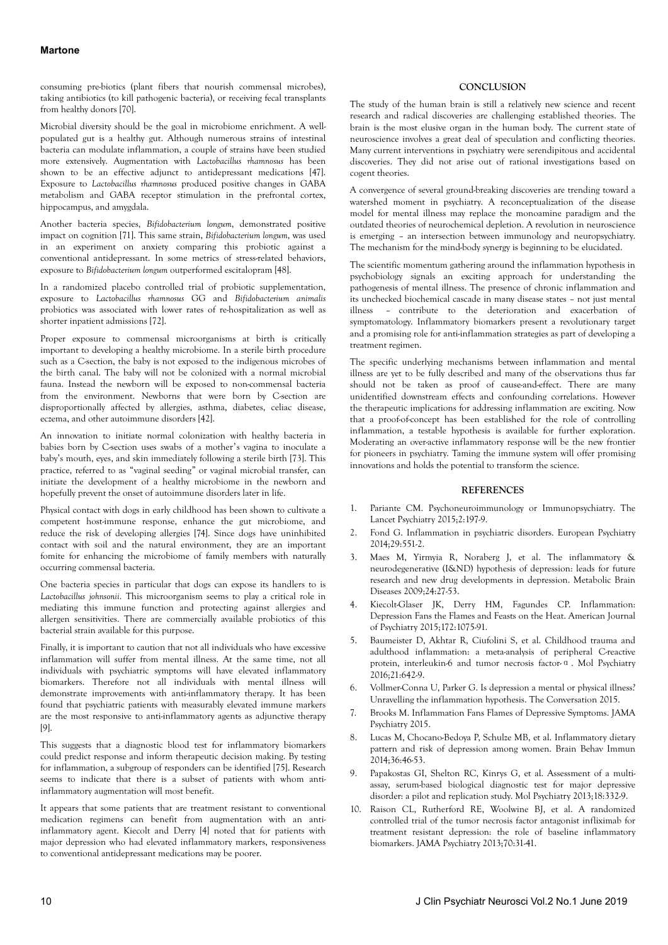## **Martone**

consuming pre-biotics (plant fibers that nourish commensal microbes), taking antibiotics (to kill pathogenic bacteria), or receiving fecal transplants from healthy donors [70].

Microbial diversity should be the goal in microbiome enrichment. A wellpopulated gut is a healthy gut. Although numerous strains of intestinal bacteria can modulate inflammation, a couple of strains have been studied more extensively. Augmentation with *Lactobacillus rhamnosus* has been shown to be an effective adjunct to antidepressant medications [47]. Exposure to *Lactobacillus rhamnosus* produced positive changes in GABA metabolism and GABA receptor stimulation in the prefrontal cortex, hippocampus, and amygdala.

Another bacteria species, *Bifidobacterium longum*, demonstrated positive impact on cognition [71]. This same strain, *Bifidobacterium longum*, was used in an experiment on anxiety comparing this probiotic against a conventional antidepressant. In some metrics of stress-related behaviors, exposure to *Bifidobacterium longum* outperformed escitalopram [48].

In a randomized placebo controlled trial of probiotic supplementation, exposure to *Lactobacillus rhamnosus* GG and *Bifidobacterium animalis* probiotics was associated with lower rates of re-hospitalization as well as shorter inpatient admissions [72].

Proper exposure to commensal microorganisms at birth is critically important to developing a healthy microbiome. In a sterile birth procedure such as a C-section, the baby is not exposed to the indigenous microbes of the birth canal. The baby will not be colonized with a normal microbial fauna. Instead the newborn will be exposed to non-commensal bacteria from the environment. Newborns that were born by C-section are disproportionally affected by allergies, asthma, diabetes, celiac disease, eczema, and other autoimmune disorders [42].

An innovation to initiate normal colonization with healthy bacteria in babies born by C-section uses swabs of a mother's vagina to inoculate a baby's mouth, eyes, and skin immediately following a sterile birth [73]. This practice, referred to as "vaginal seeding" or vaginal microbial transfer, can initiate the development of a healthy microbiome in the newborn and hopefully prevent the onset of autoimmune disorders later in life.

Physical contact with dogs in early childhood has been shown to cultivate a competent host-immune response, enhance the gut microbiome, and reduce the risk of developing allergies [74]. Since dogs have uninhibited contact with soil and the natural environment, they are an important fomite for enhancing the microbiome of family members with naturally occurring commensal bacteria.

One bacteria species in particular that dogs can expose its handlers to is *Lactobacillus johnsonii*. This microorganism seems to play a critical role in mediating this immune function and protecting against allergies and allergen sensitivities. There are commercially available probiotics of this bacterial strain available for this purpose.

Finally, it is important to caution that not all individuals who have excessive inflammation will suffer from mental illness. At the same time, not all individuals with psychiatric symptoms will have elevated inflammatory biomarkers. Therefore not all individuals with mental illness will demonstrate improvements with anti-inflammatory therapy. It has been found that psychiatric patients with measurably elevated immune markers are the most responsive to anti-inflammatory agents as adjunctive therapy [9].

This suggests that a diagnostic blood test for inflammatory biomarkers could predict response and inform therapeutic decision making. By testing for inflammation, a subgroup of responders can be identified [75]. Research seems to indicate that there is a subset of patients with whom antiinflammatory augmentation will most benefit.

It appears that some patients that are treatment resistant to conventional medication regimens can benefit from augmentation with an antiinflammatory agent. Kiecolt and Derry [4] noted that for patients with major depression who had elevated inflammatory markers, responsiveness to conventional antidepressant medications may be poorer.

## **CONCLUSION**

The study of the human brain is still a relatively new science and recent research and radical discoveries are challenging established theories. The brain is the most elusive organ in the human body. The current state of neuroscience involves a great deal of speculation and conflicting theories. Many current interventions in psychiatry were serendipitous and accidental discoveries. They did not arise out of rational investigations based on cogent theories.

A convergence of several ground-breaking discoveries are trending toward a watershed moment in psychiatry. A reconceptualization of the disease model for mental illness may replace the monoamine paradigm and the outdated theories of neurochemical depletion. A revolution in neuroscience is emerging – an intersection between immunology and neuropsychiatry. The mechanism for the mind-body synergy is beginning to be elucidated.

The scientific momentum gathering around the inflammation hypothesis in psychobiology signals an exciting approach for understanding the pathogenesis of mental illness. The presence of chronic inflammation and its unchecked biochemical cascade in many disease states – not just mental illness – contribute to the deterioration and exacerbation of symptomatology. Inflammatory biomarkers present a revolutionary target and a promising role for anti-inflammation strategies as part of developing a treatment regimen.

The specific underlying mechanisms between inflammation and mental illness are yet to be fully described and many of the observations thus far should not be taken as proof of cause-and-effect. There are many unidentified downstream effects and confounding correlations. However the therapeutic implications for addressing inflammation are exciting. Now that a proof-of-concept has been established for the role of controlling inflammation, a testable hypothesis is available for further exploration. Moderating an over-active inflammatory response will be the new frontier for pioneers in psychiatry. Taming the immune system will offer promising innovations and holds the potential to transform the science.

#### **REFERENCES**

- 1. Pariante CM. Psychoneuroimmunology or Immunopsychiatry. The Lancet Psychiatry 2015;2:197-9.
- 2. Fond G. Inflammation in psychiatric disorders. European Psychiatry 2014;29:551-2.
- 3. Maes M, Yirmyia R, Noraberg J, et al. The inflammatory & neurodegenerative (I&ND) hypothesis of depression: leads for future research and new drug developments in depression. Metabolic Brain Diseases 2009;24:27-53.
- 4. Kiecolt-Glaser JK, Derry HM, Fagundes CP. Inflammation: Depression Fans the Flames and Feasts on the Heat. American Journal of Psychiatry 2015;172:1075-91.
- 5. Baumeister D, Akhtar R, Ciufolini S, et al. Childhood trauma and adulthood inflammation: a meta-analysis of peripheral C-reactive protein, interleukin-6 and tumor necrosis factor-α. Mol Psychiatry 2016;21:642-9.
- 6. Vollmer-Conna U, Parker G. Is depression a mental or physical illness? Unravelling the inflammation hypothesis. The Conversation 2015.
- 7. Brooks M. Inflammation Fans Flames of Depressive Symptoms. JAMA Psychiatry 2015.
- 8. Lucas M, Chocano-Bedoya P, Schulze MB, et al. Inflammatory dietary pattern and risk of depression among women. Brain Behav Immun 2014;36:46-53.
- 9. Papakostas GI, Shelton RC, Kinrys G, et al. Assessment of a multiassay, serum-based biological diagnostic test for major depressive disorder: a pilot and replication study. Mol Psychiatry 2013;18:332-9.
- 10. Raison CL, Rutherford RE, Woolwine BJ, et al. A randomized controlled trial of the tumor necrosis factor antagonist infliximab for treatment resistant depression: the role of baseline inflammatory biomarkers. JAMA Psychiatry 2013;70:31-41.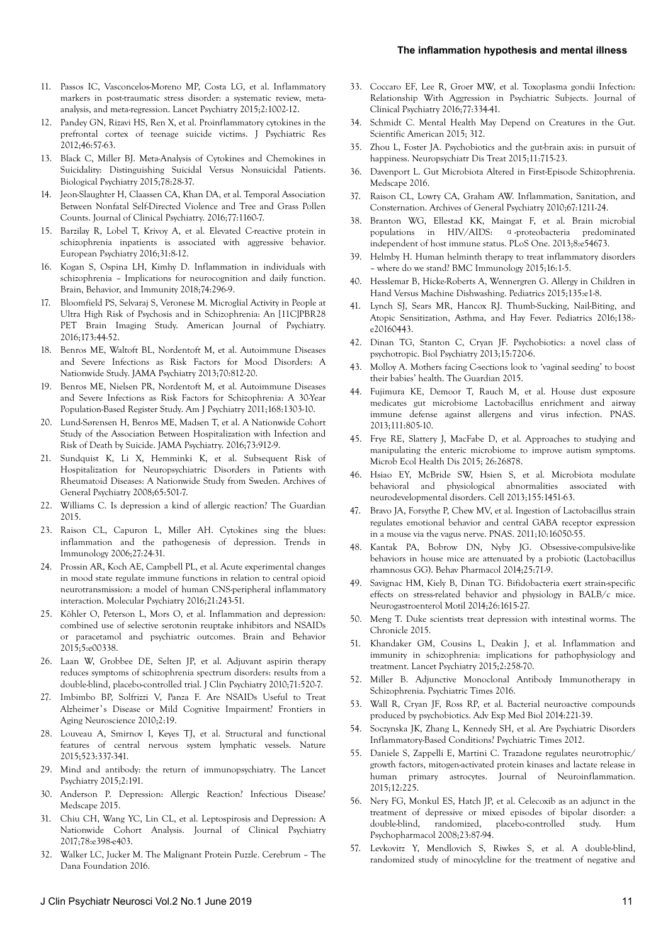#### **The inflammation hypothesis and mental illness**

- 11. Passos IC, Vasconcelos-Moreno MP, Costa LG, et al. Inflammatory markers in post-traumatic stress disorder: a systematic review, metaanalysis, and meta-regression. Lancet Psychiatry 2015;2:1002-12.
- 12. Pandey GN, Rizavi HS, Ren X, et al. Proinflammatory cytokines in the prefrontal cortex of teenage suicide victims. J Psychiatric Res 2012;46:57-63.
- 13. Black C, Miller BJ. Meta-Analysis of Cytokines and Chemokines in Suicidality: Distinguishing Suicidal Versus Nonsuicidal Patients. Biological Psychiatry 2015;78:28-37.
- 14. Jeon-Slaughter H, Claassen CA, Khan DA, et al. Temporal Association Between Nonfatal Self-Directed Violence and Tree and Grass Pollen Counts. Journal of Clinical Psychiatry. 2016;77:1160-7.
- 15. Barzilay R, Lobel T, Krivoy A, et al. Elevated C-reactive protein in schizophrenia inpatients is associated with aggressive behavior. European Psychiatry 2016;31:8-12.
- 16. Kogan S, Ospina LH, Kimhy D. Inflammation in individuals with schizophrenia – Implications for neurocognition and daily function. Brain, Behavior, and Immunity 2018;74:296-9.
- 17. Bloomfield PS, Selvaraj S, Veronese M. Microglial Activity in People at Ultra High Risk of Psychosis and in Schizophrenia: An [11C]PBR28 PET Brain Imaging Study. American Journal of Psychiatry. 2016;173:44-52.
- 18. Benros ME, Waltoft BL, Nordentoft M, et al. Autoimmune Diseases and Severe Infections as Risk Factors for Mood Disorders: A Nationwide Study. JAMA Psychiatry 2013;70:812-20.
- 19. Benros ME, Nielsen PR, Nordentoft M, et al. Autoimmune Diseases and Severe Infections as Risk Factors for Schizophrenia: A 30-Year Population-Based Register Study. Am J Psychiatry 2011;168:1303-10.
- 20. Lund-Sørensen H, Benros ME, Madsen T, et al. A Nationwide Cohort Study of the Association Between Hospitalization with Infection and Risk of Death by Suicide. JAMA Psychiatry. 2016;73:912-9.
- 21. Sundquist K, Li X, Hemminki K, et al. Subsequent Risk of Hospitalization for Neuropsychiatric Disorders in Patients with Rheumatoid Diseases: A Nationwide Study from Sweden. Archives of General Psychiatry 2008;65:501-7.
- 22. Williams C. Is depression a kind of allergic reaction? The Guardian 2015.
- 23. Raison CL, Capuron L, Miller AH. Cytokines sing the blues: inflammation and the pathogenesis of depression. Trends in Immunology 2006;27:24-31.
- 24. Prossin AR, Koch AE, Campbell PL, et al. Acute experimental changes in mood state regulate immune functions in relation to central opioid neurotransmission: a model of human CNS-peripheral inflammatory interaction. Molecular Psychiatry 2016;21:243-51.
- 25. Köhler O, Peterson L, Mors O, et al. Inflammation and depression: combined use of selective serotonin reuptake inhibitors and NSAIDs or paracetamol and psychiatric outcomes. Brain and Behavior 2015;5:e00338.
- 26. Laan W, Grobbee DE, Selten JP, et al. Adjuvant aspirin therapy reduces symptoms of schizophrenia spectrum disorders: results from a double-blind, placebo-controlled trial. J Clin Psychiatry 2010;71:520-7.
- 27. Imbimbo BP, Solfrizzi V, Panza F. Are NSAIDs Useful to Treat Alzheimer's Disease or Mild Cognitive Impairment? Frontiers in Aging Neuroscience 2010;2:19.
- 28. Louveau A, Smirnov I, Keyes TJ, et al. Structural and functional features of central nervous system lymphatic vessels. Nature 2015;523:337-341.
- 29. Mind and antibody: the return of immunopsychiatry. The Lancet Psychiatry 2015;2:191.
- 30. Anderson P. Depression: Allergic Reaction? Infectious Disease? Medscape 2015.
- 31. Chiu CH, Wang YC, Lin CL, et al. Leptospirosis and Depression: A Nationwide Cohort Analysis. Journal of Clinical Psychiatry 2017;78:e398-e403.
- 32. Walker LC, Jucker M. The Malignant Protein Puzzle. Cerebrum The Dana Foundation 2016.
- 33. Coccaro EF, Lee R, Groer MW, et al. Toxoplasma gondii Infection: Relationship With Aggression in Psychiatric Subjects. Journal of Clinical Psychiatry 2016;77:334-41.
- 34. Schmidt C. Mental Health May Depend on Creatures in the Gut. Scientific American 2015; 312.
- 35. Zhou L, Foster JA. Psychobiotics and the gut-brain axis: in pursuit of happiness. Neuropsychiatr Dis Treat 2015;11:715-23.
- 36. Davenport L. Gut Microbiota Altered in First-Episode Schizophrenia. Medscape 2016.
- 37. Raison CL, Lowry CA, Graham AW. Inflammation, Sanitation, and Consternation. Archives of General Psychiatry 2010;67:1211-24.
- 38. Branton WG, Ellestad KK, Maingat F, et al. Brain microbial populations in HIV/AIDS: α-proteobacteria predominated independent of host immune status. PLoS One. 2013;8:e54673.
- 39. Helmby H. Human helminth therapy to treat inflammatory disorders – where do we stand? BMC Immunology 2015;16:1-5.
- 40. Hesslemar B, Hicke-Roberts A, Wennergren G. Allergy in Children in Hand Versus Machine Dishwashing. Pediatrics 2015;135:e1-8.
- 41. Lynch SJ, Sears MR, Hancox RJ. Thumb-Sucking, Nail-Biting, and Atopic Sensitization, Asthma, and Hay Fever. Pediatrics 2016;138: e20160443.
- 42. Dinan TG, Stanton C, Cryan JF. Psychobiotics: a novel class of psychotropic. Biol Psychiatry 2013;15:720-6.
- 43. Molloy A. Mothers facing C-sections look to 'vaginal seeding' to boost their babies' health. The Guardian 2015.
- 44. Fujimura KE, Demoor T, Rauch M, et al. House dust exposure medicates gut microbiome Lactobacillus enrichment and airway immune defense against allergens and virus infection. PNAS. 2013;111:805-10.
- 45. Frye RE, Slattery J, MacFabe D, et al. Approaches to studying and manipulating the enteric microbiome to improve autism symptoms. Microb Ecol Health Dis 2015; 26:26878.
- 46. Hsiao EY, McBride SW, Hsien S, et al. Microbiota modulate behavioral and physiological abnormalities associated with neurodevelopmental disorders. Cell 2013;155:1451-63.
- 47. Bravo JA, Forsythe P, Chew MV, et al. Ingestion of Lactobacillus strain regulates emotional behavior and central GABA receptor expression in a mouse via the vagus nerve. PNAS. 2011;10:16050-55.
- 48. Kantak PA, Bobrow DN, Nyby JG. Obsessive-compulsive-like behaviors in house mice are attenuated by a probiotic (Lactobacillus rhamnosus GG). Behav Pharmacol 2014;25:71-9.
- 49. Savignac HM, Kiely B, Dinan TG. Bifidobacteria exert strain-specific effects on stress-related behavior and physiology in BALB/c mice. Neurogastroenterol Motil 2014;26:1615-27.
- 50. Meng T. Duke scientists treat depression with intestinal worms. The Chronicle 2015.
- 51. Khandaker GM, Cousins L, Deakin J, et al. Inflammation and immunity in schizophrenia: implications for pathophysiology and treatment. Lancet Psychiatry 2015;2:258-70.
- 52. Miller B. Adjunctive Monoclonal Antibody Immunotherapy in Schizophrenia. Psychiatric Times 2016.
- 53. Wall R, Cryan JF, Ross RP, et al. Bacterial neuroactive compounds produced by psychobiotics. Adv Exp Med Biol 2014:221-39.
- 54. Soczynska JK, Zhang L, Kennedy SH, et al. Are Psychiatric Disorders Inflammatory-Based Conditions? Psychiatric Times 2012.
- 55. Daniele S, Zappelli E, Martini C. Trazadone regulates neurotrophic/ growth factors, mitogen-activated protein kinases and lactate release in human primary astrocytes. Journal of Neuroinflammation. 2015;12:225.
- 56. Nery FG, Monkul ES, Hatch JP, et al. Celecoxib as an adjunct in the treatment of depressive or mixed episodes of bipolar disorder: a double-blind, randomized, placebo-controlled study. Hum Psychopharmacol 2008;23:87-94.
- 57. Levkovitz Y, Mendlovich S, Riwkes S, et al. A double-blind, randomized study of minocylcline for the treatment of negative and